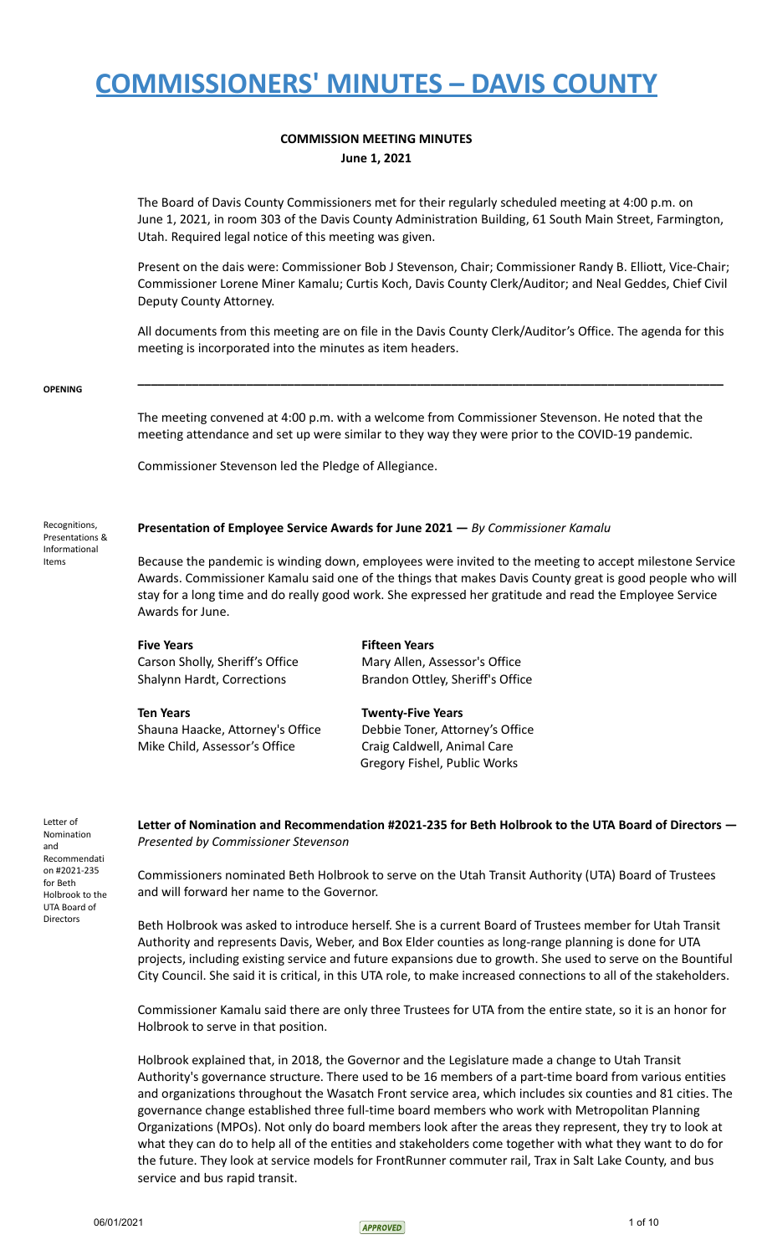## **COMMISSION MEETING MINUTES June 1, 2021**

The Board of Davis County Commissioners met for their regularly scheduled meeting at 4:00 p.m. on June 1, 2021, in room 303 of the Davis County Administration Building, 61 South Main Street, Farmington, Utah. Required legal notice of this meeting was given.

Present on the dais were: Commissioner Bob J Stevenson, Chair; Commissioner Randy B. Elliott, Vice-Chair; Commissioner Lorene Miner Kamalu; Curtis Koch, Davis County Clerk/Auditor; and Neal Geddes, Chief Civil Deputy County Attorney.

All documents from this meeting are on file in the Davis County Clerk/Auditor's Office. The agenda for this meeting is incorporated into the minutes as item headers.

**\_\_\_\_\_\_\_\_\_\_\_\_\_\_\_\_\_\_\_\_\_\_\_\_\_\_\_\_\_\_\_\_\_\_\_\_\_\_\_\_\_\_\_\_\_\_\_\_\_\_\_\_\_\_\_\_\_\_\_\_\_\_\_\_\_\_\_\_\_\_\_\_\_\_\_\_\_\_\_\_\_\_\_\_\_\_**

### **OPENING**

The meeting convened at 4:00 p.m. with a welcome from Commissioner Stevenson. He noted that the meeting attendance and set up were similar to they way they were prior to the COVID-19 pandemic.

Commissioner Stevenson led the Pledge of Allegiance.

## **Presentation of Employee Service Awards for June 2021 —** *By Commissioner Kamalu*

Recognitions, Presentations & Informational Items

Because the pandemic is winding down, employees were invited to the meeting to accept milestone Service Awards. Commissioner Kamalu said one of the things that makes Davis County great is good people who will stay for a long time and do really good work. She expressed her gratitude and read the Employee Service Awards for June.

**Five Years Fifteen Years**

**Ten Years Twenty-Five Years** Shauna Haacke, Attorney's Office Debbie Toner, Attorney's Office Mike Child, Assessor's Office Craig Caldwell, Animal Care

Carson Sholly, Sheriff's Office Mary Allen, Assessor's Office Shalynn Hardt, Corrections **Brandon Ottley, Sheriff's Office** 

Gregory Fishel, Public Works

**Letter of Nomination and Recommendation #2021-235 for Beth Holbrook to the UTA Board of Directors —** *Presented by Commissioner Stevenson*

Commissioners nominated Beth Holbrook to serve on the Utah Transit Authority (UTA) Board of Trustees and will forward her name to the Governor.

Beth Holbrook was asked to introduce herself. She is a current Board of Trustees member for Utah Transit Authority and represents Davis, Weber, and Box Elder counties as long-range planning is done for UTA projects, including existing service and future expansions due to growth. She used to serve on the Bountiful City Council. She said it is critical, in this UTA role, to make increased connections to all of the stakeholders.

Commissioner Kamalu said there are only three Trustees for UTA from the entire state, so it is an honor for Holbrook to serve in that position.

Holbrook explained that, in 2018, the Governor and the Legislature made a change to Utah Transit Authority's governance structure. There used to be 16 members of a part-time board from various entities and organizations throughout the Wasatch Front service area, which includes six counties and 81 cities. The governance change established three full-time board members who work with Metropolitan Planning Organizations (MPOs). Not only do board members look after the areas they represent, they try to look at what they can do to help all of the entities and stakeholders come together with what they want to do for the future. They look at service models for FrontRunner commuter rail, Trax in Salt Lake County, and bus service and bus rapid transit.



Letter of Nomination and Recommendati on #2021-235 for Beth Holbrook to the UTA Board of Directors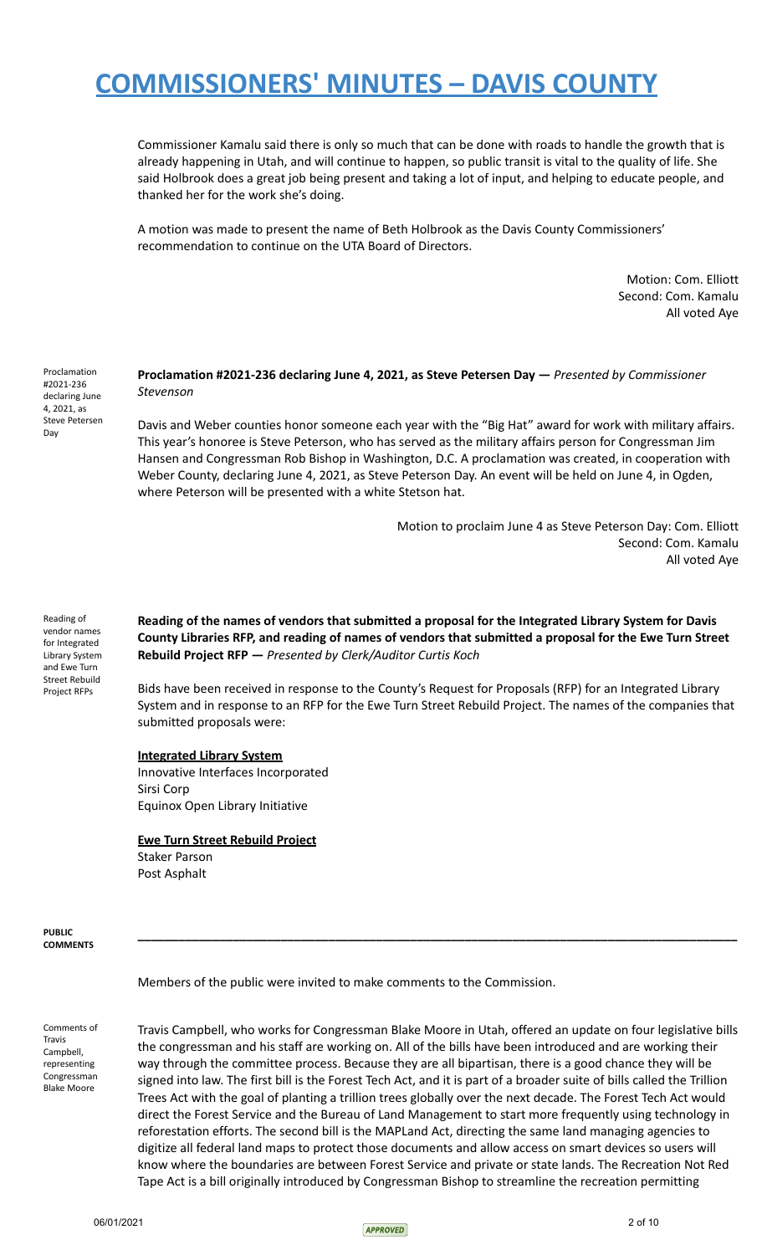Commissioner Kamalu said there is only so much that can be done with roads to handle the growth that is already happening in Utah, and will continue to happen, so public transit is vital to the quality of life. She said Holbrook does a great job being present and taking a lot of input, and helping to educate people, and thanked her for the work she's doing.

A motion was made to present the name of Beth Holbrook as the Davis County Commissioners' recommendation to continue on the UTA Board of Directors.

> Motion: Com. Elliott Second: Com. Kamalu All voted Aye

**Proclamation #2021-236 declaring June 4, 2021, as Steve Petersen Day —** *Presented by Commissioner Stevenson*

Davis and Weber counties honor someone each year with the "Big Hat" award for work with military affairs. This year's honoree is Steve Peterson, who has served as the military affairs person for Congressman Jim Hansen and Congressman Rob Bishop in Washington, D.C. A proclamation was created, in cooperation with Weber County, declaring June 4, 2021, as Steve Peterson Day. An event will be held on June 4, in Ogden, where Peterson will be presented with a white Stetson hat.

> Motion to proclaim June 4 as Steve Peterson Day: Com. Elliott Second: Com. Kamalu All voted Aye

Reading of vendor names for Integrated Library System and Ewe Turn Street Rebuild Project RFPs

Proclamation #2021-236 declaring June 4, 2021, as Steve Petersen

Day

**Reading of the names of vendors that submitted a proposal for the Integrated Library System for Davis** County Libraries RFP, and reading of names of vendors that submitted a proposal for the Ewe Turn Street **Rebuild Project RFP —** *Presented by Clerk/Auditor Curtis Koch*

Bids have been received in response to the County's Request for Proposals (RFP) for an Integrated Library System and in response to an RFP for the Ewe Turn Street Rebuild Project. The names of the companies that submitted proposals were:

## **Integrated Library System**

Innovative Interfaces Incorporated Sirsi Corp Equinox Open Library Initiative

## **Ewe Turn Street Rebuild Project**

Staker Parson Post Asphalt

**PUBLIC COMMENTS**

Members of the public were invited to make comments to the Commission.

Comments of Travis Campbell, representing Congressman Blake Moore

Travis Campbell, who works for Congressman Blake Moore in Utah, offered an update on four legislative bills the congressman and his staff are working on. All of the bills have been introduced and are working their way through the committee process. Because they are all bipartisan, there is a good chance they will be signed into law. The first bill is the Forest Tech Act, and it is part of a broader suite of bills called the Trillion Trees Act with the goal of planting a trillion trees globally over the next decade. The Forest Tech Act would direct the Forest Service and the Bureau of Land Management to start more frequently using technology in reforestation efforts. The second bill is the MAPLand Act, directing the same land managing agencies to digitize all federal land maps to protect those documents and allow access on smart devices so users will know where the boundaries are between Forest Service and private or state lands. The Recreation Not Red Tape Act is a bill originally introduced by Congressman Bishop to streamline the recreation permitting

**\_\_\_\_\_\_\_\_\_\_\_\_\_\_\_\_\_\_\_\_\_\_\_\_\_\_\_\_\_\_\_\_\_\_\_\_\_\_\_\_\_\_\_\_\_\_\_\_\_\_\_\_\_\_\_\_\_\_\_\_\_\_\_\_\_\_\_\_\_\_\_\_\_\_\_\_\_\_\_\_\_\_\_\_\_\_\_\_**

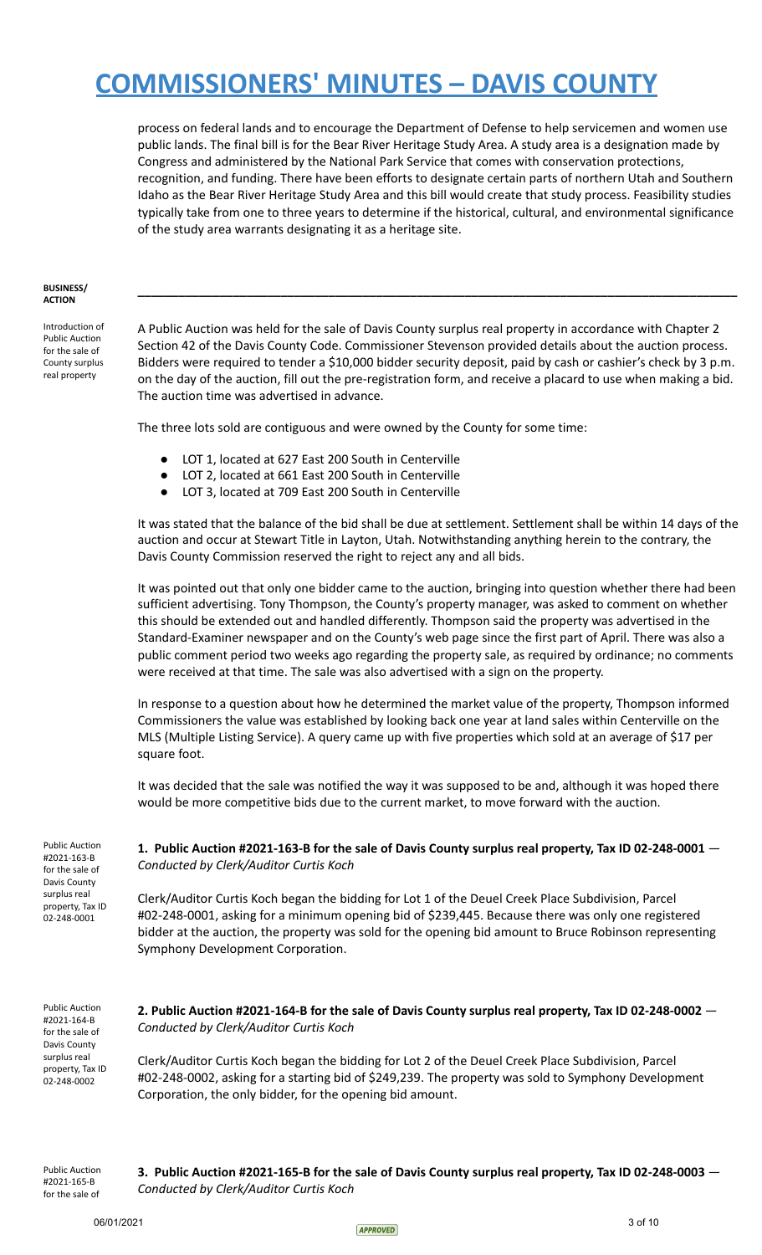process on federal lands and to encourage the Department of Defense to help servicemen and women use public lands. The final bill is for the Bear River Heritage Study Area. A study area is a designation made by Congress and administered by the National Park Service that comes with conservation protections, recognition, and funding. There have been efforts to designate certain parts of northern Utah and Southern Idaho as the Bear River Heritage Study Area and this bill would create that study process. Feasibility studies typically take from one to three years to determine if the historical, cultural, and environmental significance of the study area warrants designating it as a heritage site.

#### **BUSINESS/ ACTION**

Introduction of Public Auction for the sale of County surplus real property

A Public Auction was held for the sale of Davis County surplus real property in accordance with Chapter 2 Section 42 of the Davis County Code. Commissioner Stevenson provided details about the auction process. Bidders were required to tender a \$10,000 bidder security deposit, paid by cash or cashier's check by 3 p.m. on the day of the auction, fill out the pre-registration form, and receive a placard to use when making a bid. The auction time was advertised in advance.

**\_\_\_\_\_\_\_\_\_\_\_\_\_\_\_\_\_\_\_\_\_\_\_\_\_\_\_\_\_\_\_\_\_\_\_\_\_\_\_\_\_\_\_\_\_\_\_\_\_\_\_\_\_\_\_\_\_\_\_\_\_\_\_\_\_\_\_\_\_\_\_\_\_\_\_\_\_\_\_\_\_\_\_\_\_\_\_\_**

The three lots sold are contiguous and were owned by the County for some time:

- LOT 1, located at 627 East 200 South in Centerville
- LOT 2, located at 661 East 200 South in Centerville
- LOT 3, located at 709 East 200 South in Centerville

It was stated that the balance of the bid shall be due at settlement. Settlement shall be within 14 days of the auction and occur at Stewart Title in Layton, Utah. Notwithstanding anything herein to the contrary, the Davis County Commission reserved the right to reject any and all bids.

It was pointed out that only one bidder came to the auction, bringing into question whether there had been sufficient advertising. Tony Thompson, the County's property manager, was asked to comment on whether this should be extended out and handled differently. Thompson said the property was advertised in the Standard-Examiner newspaper and on the County's web page since the first part of April. There was also a public comment period two weeks ago regarding the property sale, as required by ordinance; no comments were received at that time. The sale was also advertised with a sign on the property.

In response to a question about how he determined the market value of the property, Thompson informed Commissioners the value was established by looking back one year at land sales within Centerville on the MLS (Multiple Listing Service). A query came up with five properties which sold at an average of \$17 per square foot.

It was decided that the sale was notified the way it was supposed to be and, although it was hoped there would be more competitive bids due to the current market, to move forward with the auction.

Public Auction #2021-163-B for the sale of Davis County surplus real property, Tax ID 02-248-0001

**1. Public Auction #2021-163-B for the sale of Davis County surplus real property, Tax ID 02-248-0001** — *Conducted by Clerk/Auditor Curtis Koch*

Clerk/Auditor Curtis Koch began the bidding for Lot 1 of the Deuel Creek Place Subdivision, Parcel #02-248-0001, asking for a minimum opening bid of \$239,445. Because there was only one registered bidder at the auction, the property was sold for the opening bid amount to Bruce Robinson representing Symphony Development Corporation.

Public Auction #2021-164-B for the sale of Davis County surplus real property, Tax ID 02-248-0002

**2. Public Auction #2021-164-B for the sale of Davis County surplus real property, Tax ID 02-248-0002** — *Conducted by Clerk/Auditor Curtis Koch*

Clerk/Auditor Curtis Koch began the bidding for Lot 2 of the Deuel Creek Place Subdivision, Parcel #02-248-0002, asking for a starting bid of \$249,239. The property was sold to Symphony Development Corporation, the only bidder, for the opening bid amount.

Public Auction #2021-165-B for the sale of

**3. Public Auction #2021-165-B for the sale of Davis County surplus real property, Tax ID 02-248-0003** — *Conducted by Clerk/Auditor Curtis Koch*

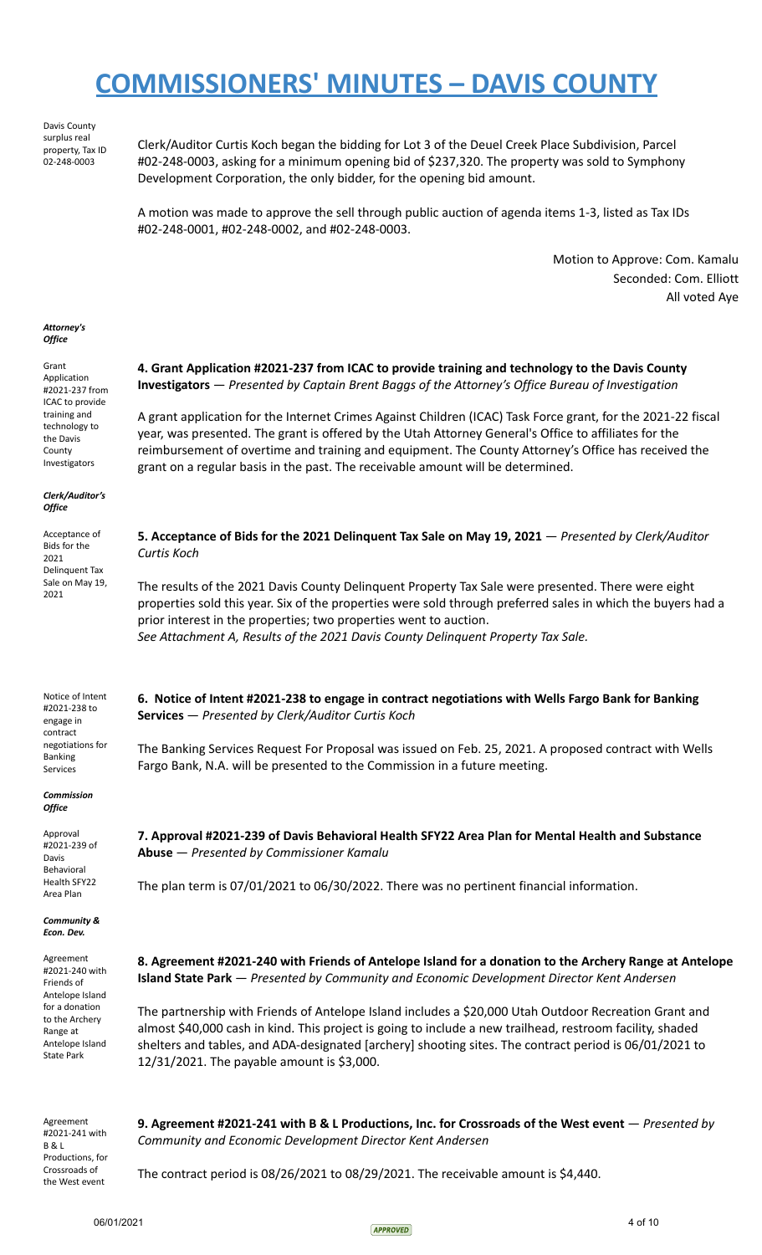Davis County surplus real property, Tax ID 02-248-0003

Clerk/Auditor Curtis Koch began the bidding for Lot 3 of the Deuel Creek Place Subdivision, Parcel #02-248-0003, asking for a minimum opening bid of \$237,320. The property was sold to Symphony Development Corporation, the only bidder, for the opening bid amount.

A motion was made to approve the sell through public auction of agenda items 1-3, listed as Tax IDs #02-248-0001, #02-248-0002, and #02-248-0003.

> Motion to Approve: Com. Kamalu Seconded: Com. Elliott All voted Aye

### *Attorney's Office*

Grant Application #2021-237 from ICAC to provide training and technology to the Davis County Investigators

*Clerk/Auditor's Office*

Acceptance of Bids for the 2021 Delinquent Tax Sale on May 19, 2021

## **4. Grant Application #2021-237 from ICAC to provide training and technology to the Davis County Investigators** — *Presented by Captain Brent Baggs of the Attorney's Office Bureau of Investigation*

A grant application for the Internet Crimes Against Children (ICAC) Task Force grant, for the 2021-22 fiscal year, was presented. The grant is offered by the Utah Attorney General's Office to affiliates for the reimbursement of overtime and training and equipment. The County Attorney's Office has received the grant on a regular basis in the past. The receivable amount will be determined.

**5. Acceptance of Bids for the 2021 Delinquent Tax Sale on May 19, 2021** — *Presented by Clerk/Auditor Curtis Koch*

The results of the 2021 Davis County Delinquent Property Tax Sale were presented. There were eight properties sold this year. Six of the properties were sold through preferred sales in which the buyers had a prior interest in the properties; two properties went to auction. *See Attachment A, Results of the 2021 Davis County Delinquent Property Tax Sale.*

Notice of Intent #2021-238 to engage in contract negotiations for Banking Services

*Commission Office*

Approval #2021-239 of Davis Behavioral Health SFY22 Area Plan

*Community & Econ. Dev.*

Agreement #2021-240 with Friends of Antelope Island for a donation to the Archery Range at Antelope Island State Park

**6. Notice of Intent #2021-238 to engage in contract negotiations with Wells Fargo Bank for Banking**

The Banking Services Request For Proposal was issued on Feb. 25, 2021. A proposed contract with Wells

**Services** — *Presented by Clerk/Auditor Curtis Koch*

**7. Approval #2021-239 of Davis Behavioral Health SFY22 Area Plan for Mental Health and Substance Abuse** — *Presented by Commissioner Kamalu*

The plan term is 07/01/2021 to 06/30/2022. There was no pertinent financial information.

Fargo Bank, N.A. will be presented to the Commission in a future meeting.

**8. Agreement #2021-240 with Friends of Antelope Island for a donation to the Archery Range at Antelope Island State Park** — *Presented by Community and Economic Development Director Kent Andersen*

The partnership with Friends of Antelope Island includes a \$20,000 Utah Outdoor Recreation Grant and almost \$40,000 cash in kind. This project is going to include a new trailhead, restroom facility, shaded shelters and tables, and ADA-designated [archery] shooting sites. The contract period is 06/01/2021 to 12/31/2021. The payable amount is \$3,000.

Agreement #2021-241 with B & L Productions, for Crossroads of the West event

**9. Agreement #2021-241 with B & L Productions, Inc. for Crossroads of the West event** — *Presented by Community and Economic Development Director Kent Andersen*

The contract period is 08/26/2021 to 08/29/2021. The receivable amount is \$4,440.

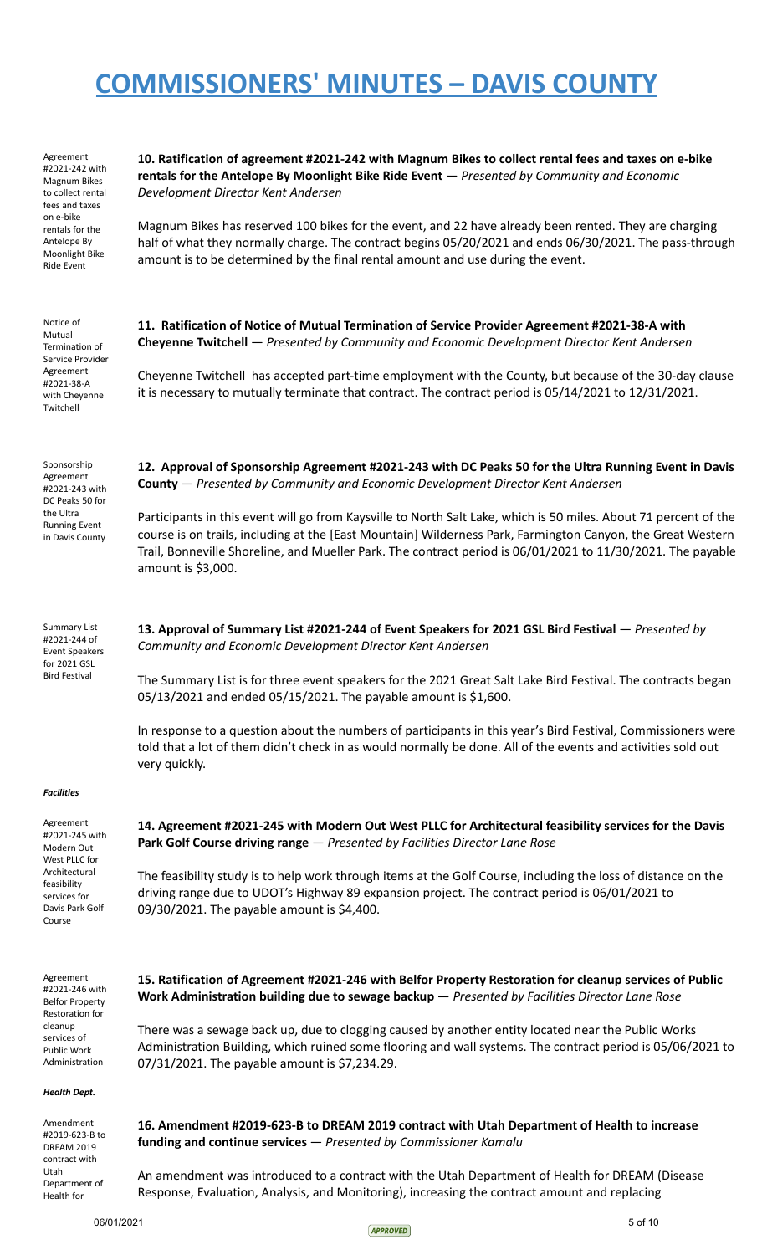| Agreement<br>#2021-242 with<br>Magnum Bikes<br>to collect rental<br>fees and taxes<br>on e-bike<br>rentals for the<br>Antelope By<br>Moonlight Bike<br>Ride Event | 10. Ratification of agreement #2021-242 with Magnum Bikes to collect rental fees and taxes on e-bike<br>rentals for the Antelope By Moonlight Bike Ride Event - Presented by Community and Economic<br>Development Director Kent Andersen                                                                                                                            |
|-------------------------------------------------------------------------------------------------------------------------------------------------------------------|----------------------------------------------------------------------------------------------------------------------------------------------------------------------------------------------------------------------------------------------------------------------------------------------------------------------------------------------------------------------|
|                                                                                                                                                                   | Magnum Bikes has reserved 100 bikes for the event, and 22 have already been rented. They are charging<br>half of what they normally charge. The contract begins 05/20/2021 and ends 06/30/2021. The pass-through<br>amount is to be determined by the final rental amount and use during the event.                                                                  |
| Notice of<br>Mutual<br>Termination of<br>Service Provider<br>Agreement<br>#2021-38-A<br>with Cheyenne<br>Twitchell                                                | 11. Ratification of Notice of Mutual Termination of Service Provider Agreement #2021-38-A with<br>Cheyenne Twitchell - Presented by Community and Economic Development Director Kent Andersen                                                                                                                                                                        |
|                                                                                                                                                                   | Cheyenne Twitchell has accepted part-time employment with the County, but because of the 30-day clause<br>it is necessary to mutually terminate that contract. The contract period is 05/14/2021 to 12/31/2021.                                                                                                                                                      |
| Sponsorship<br>Agreement<br>#2021-243 with<br>DC Peaks 50 for<br>the Ultra<br><b>Running Event</b><br>in Davis County                                             | 12. Approval of Sponsorship Agreement #2021-243 with DC Peaks 50 for the Ultra Running Event in Davis<br><b>County</b> - Presented by Community and Economic Development Director Kent Andersen                                                                                                                                                                      |
|                                                                                                                                                                   | Participants in this event will go from Kaysville to North Salt Lake, which is 50 miles. About 71 percent of the<br>course is on trails, including at the [East Mountain] Wilderness Park, Farmington Canyon, the Great Western<br>Trail, Bonneville Shoreline, and Mueller Park. The contract period is 06/01/2021 to 11/30/2021. The payable<br>amount is \$3,000. |
| <b>Summary List</b><br>#2021-244 of<br><b>Event Speakers</b><br>for 2021 GSL<br><b>Bird Festival</b>                                                              | 13. Approval of Summary List #2021-244 of Event Speakers for 2021 GSL Bird Festival - Presented by<br>Community and Economic Development Director Kent Andersen                                                                                                                                                                                                      |
|                                                                                                                                                                   | The Summary List is for three event speakers for the 2021 Great Salt Lake Bird Festival. The contracts began<br>05/13/2021 and ended 05/15/2021. The payable amount is \$1,600.                                                                                                                                                                                      |
|                                                                                                                                                                   | In response to a question about the numbers of participants in this year's Bird Festival, Commissioners were<br>told that a lot of them didn't check in as would normally be done. All of the events and activities sold out<br>very quickly.                                                                                                                        |
| <b>Facilities</b>                                                                                                                                                 |                                                                                                                                                                                                                                                                                                                                                                      |
| Agreement<br>#2021-245 with<br>Modern Out<br>West PLLC for<br>Architectural<br>feasibility<br>services for<br>Davis Park Golf<br>Course                           | 14. Agreement #2021-245 with Modern Out West PLLC for Architectural feasibility services for the Davis<br>Park Golf Course driving range - Presented by Facilities Director Lane Rose                                                                                                                                                                                |
|                                                                                                                                                                   | The feasibility study is to help work through items at the Golf Course, including the loss of distance on the<br>driving range due to UDOT's Highway 89 expansion project. The contract period is 06/01/2021 to<br>09/30/2021. The payable amount is \$4,400.                                                                                                        |
| Agreement<br>#2021-246 with<br><b>Belfor Property</b><br>Restoration for<br>cleanup<br>services of<br>Public Work<br>Administration                               | 15. Ratification of Agreement #2021-246 with Belfor Property Restoration for cleanup services of Public<br>Work Administration building due to sewage backup - Presented by Facilities Director Lane Rose                                                                                                                                                            |
|                                                                                                                                                                   | There was a sewage back up, due to clogging caused by another entity located near the Public Works<br>Administration Building, which ruined some flooring and wall systems. The contract period is 05/06/2021 to<br>07/31/2021. The payable amount is \$7,234.29.                                                                                                    |
| Health Dept.                                                                                                                                                      |                                                                                                                                                                                                                                                                                                                                                                      |
| Amendment<br>#2019-623-B to<br><b>DREAM 2019</b><br>contract with                                                                                                 | 16. Amendment #2019-623-B to DREAM 2019 contract with Utah Department of Health to increase<br>funding and continue services $-$ Presented by Commissioner Kamalu                                                                                                                                                                                                    |
| Utah<br>Department of<br>Health for                                                                                                                               | An amendment was introduced to a contract with the Utah Department of Health for DREAM (Disease<br>Response, Evaluation, Analysis, and Monitoring), increasing the contract amount and replacing                                                                                                                                                                     |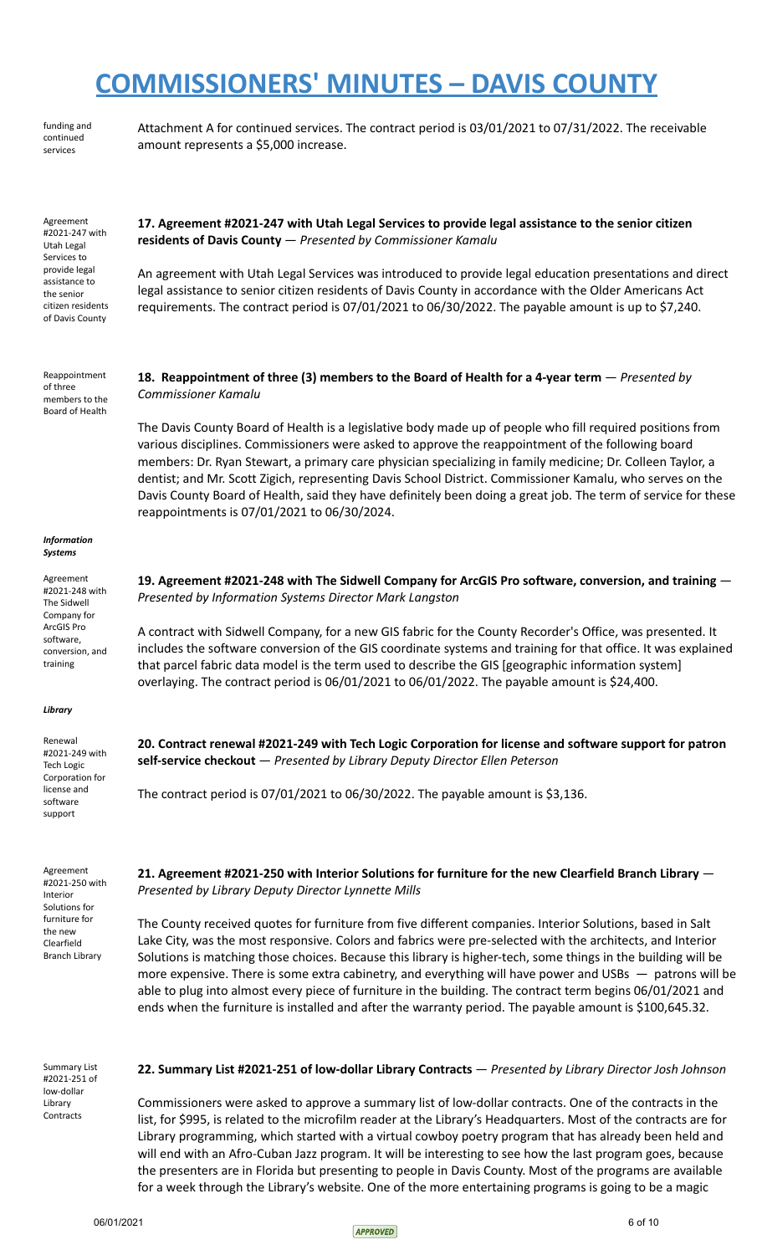funding and continued services

Attachment A for continued services. The contract period is 03/01/2021 to 07/31/2022. The receivable amount represents a \$5,000 increase.

**17. Agreement #2021-247 with Utah Legal Services to provide legal assistance to the senior citizen**

**18. Reappointment of three (3) members to the Board of Health for a 4-year term** — *Presented by*

An agreement with Utah Legal Services was introduced to provide legal education presentations and direct legal assistance to senior citizen residents of Davis County in accordance with the Older Americans Act requirements. The contract period is 07/01/2021 to 06/30/2022. The payable amount is up to \$7,240.

Agreement #2021-247 with Utah Legal Services to provide legal assistance to the senior citizen residents of Davis County

Reappointment of three members to the Board of Health

*Commissioner Kamalu*

The Davis County Board of Health is a legislative body made up of people who fill required positions from

**residents of Davis County** — *Presented by Commissioner Kamalu*

various disciplines. Commissioners were asked to approve the reappointment of the following board members: Dr. Ryan Stewart, a primary care physician specializing in family medicine; Dr. Colleen Taylor, a dentist; and Mr. Scott Zigich, representing Davis School District. Commissioner Kamalu, who serves on the Davis County Board of Health, said they have definitely been doing a great job. The term of service for these reappointments is 07/01/2021 to 06/30/2024.

### *Information Systems*

Agreement #2021-248 with The Sidwell Company for ArcGIS Pro software, conversion, and training

## *Library*

Renewal #2021-249 with Tech Logic Corporation for license and software support

Agreement #2021-250 with Interior Solutions for furniture for the new Clearfield Branch Library

**19. Agreement #2021-248 with The Sidwell Company for ArcGIS Pro software, conversion, and training** — *Presented by Information Systems Director Mark Langston*

A contract with Sidwell Company, for a new GIS fabric for the County Recorder's Office, was presented. It includes the software conversion of the GIS coordinate systems and training for that office. It was explained that parcel fabric data model is the term used to describe the GIS [geographic information system] overlaying. The contract period is 06/01/2021 to 06/01/2022. The payable amount is \$24,400.

**20. Contract renewal #2021-249 with Tech Logic Corporation for license and software support for patron self-service checkout** — *Presented by Library Deputy Director Ellen Peterson*

The contract period is 07/01/2021 to 06/30/2022. The payable amount is \$3,136.

**21. Agreement #2021-250 with Interior Solutions for furniture for the new Clearfield Branch Library** — *Presented by Library Deputy Director Lynnette Mills*

The County received quotes for furniture from five different companies. Interior Solutions, based in Salt Lake City, was the most responsive. Colors and fabrics were pre-selected with the architects, and Interior Solutions is matching those choices. Because this library is higher-tech, some things in the building will be more expensive. There is some extra cabinetry, and everything will have power and USBs — patrons will be able to plug into almost every piece of furniture in the building. The contract term begins 06/01/2021 and ends when the furniture is installed and after the warranty period. The payable amount is \$100,645.32.

Summary List #2021-251 of low-dollar Library **Contracts** 

## **22. Summary List #2021-251 of low-dollar Library Contracts** — *Presented by Library Director Josh Johnson*

Commissioners were asked to approve a summary list of low-dollar contracts. One of the contracts in the list, for \$995, is related to the microfilm reader at the Library's Headquarters. Most of the contracts are for Library programming, which started with a virtual cowboy poetry program that has already been held and will end with an Afro-Cuban Jazz program. It will be interesting to see how the last program goes, because the presenters are in Florida but presenting to people in Davis County. Most of the programs are available for a week through the Library's website. One of the more entertaining programs is going to be a magic

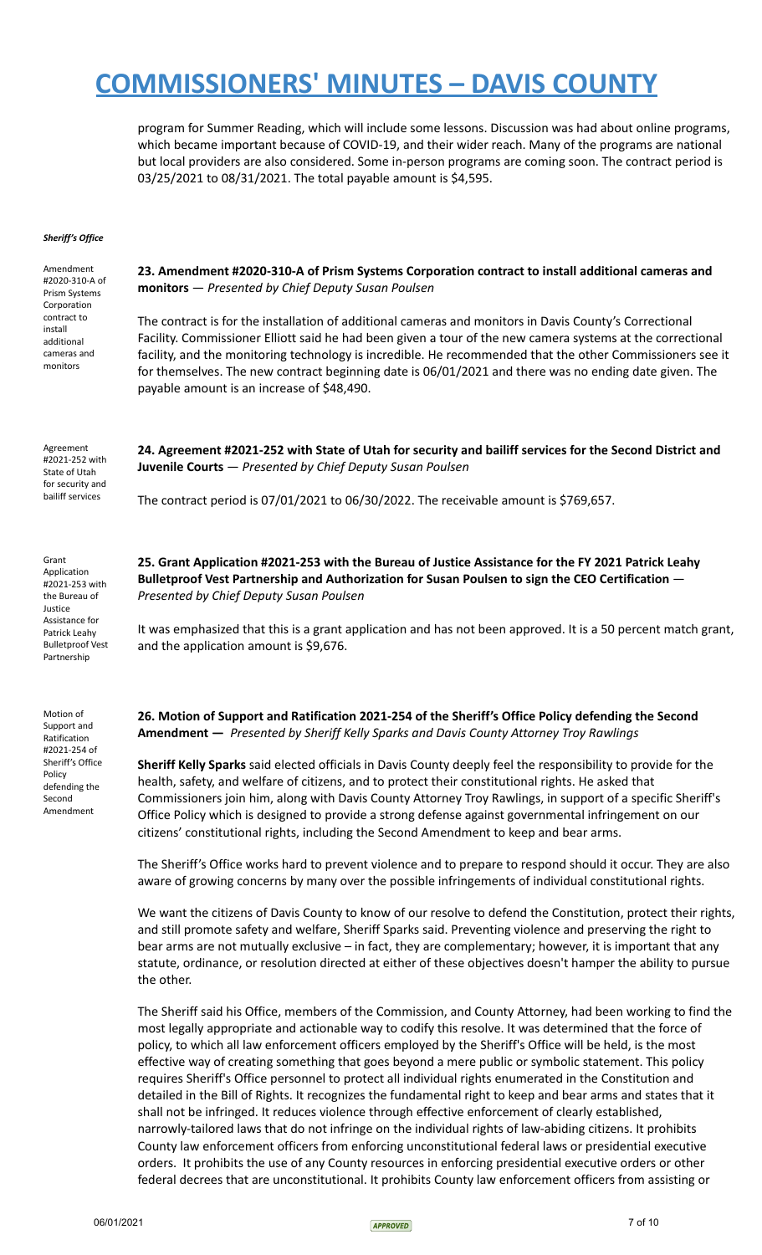program for Summer Reading, which will include some lessons. Discussion was had about online programs, which became important because of COVID-19, and their wider reach. Many of the programs are national but local providers are also considered. Some in-person programs are coming soon. The contract period is 03/25/2021 to 08/31/2021. The total payable amount is \$4,595.

## *Sheriff's Office*

| Amendment<br>#2020-310-A of<br>Prism Systems<br>Corporation                                                                                     | 23. Amendment #2020-310-A of Prism Systems Corporation contract to install additional cameras and<br>monitors - Presented by Chief Deputy Susan Poulsen                                                                                                                                                                                                                                                                                                                                                                                                                                                                                                                                                                                                                                                                                                                                                                                                                                           |
|-------------------------------------------------------------------------------------------------------------------------------------------------|---------------------------------------------------------------------------------------------------------------------------------------------------------------------------------------------------------------------------------------------------------------------------------------------------------------------------------------------------------------------------------------------------------------------------------------------------------------------------------------------------------------------------------------------------------------------------------------------------------------------------------------------------------------------------------------------------------------------------------------------------------------------------------------------------------------------------------------------------------------------------------------------------------------------------------------------------------------------------------------------------|
| contract to<br>install<br>additional<br>cameras and<br>monitors                                                                                 | The contract is for the installation of additional cameras and monitors in Davis County's Correctional<br>Facility. Commissioner Elliott said he had been given a tour of the new camera systems at the correctional<br>facility, and the monitoring technology is incredible. He recommended that the other Commissioners see it<br>for themselves. The new contract beginning date is 06/01/2021 and there was no ending date given. The<br>payable amount is an increase of \$48,490.                                                                                                                                                                                                                                                                                                                                                                                                                                                                                                          |
| Agreement<br>#2021-252 with<br>State of Utah<br>for security and<br>bailiff services                                                            | 24. Agreement #2021-252 with State of Utah for security and bailiff services for the Second District and<br>Juvenile Courts - Presented by Chief Deputy Susan Poulsen                                                                                                                                                                                                                                                                                                                                                                                                                                                                                                                                                                                                                                                                                                                                                                                                                             |
|                                                                                                                                                 | The contract period is 07/01/2021 to 06/30/2022. The receivable amount is \$769,657.                                                                                                                                                                                                                                                                                                                                                                                                                                                                                                                                                                                                                                                                                                                                                                                                                                                                                                              |
| Grant<br>Application<br>#2021-253 with<br>the Bureau of<br>Justice<br>Assistance for<br>Patrick Leahy<br><b>Bulletproof Vest</b><br>Partnership | 25. Grant Application #2021-253 with the Bureau of Justice Assistance for the FY 2021 Patrick Leahy<br>Bulletproof Vest Partnership and Authorization for Susan Poulsen to sign the CEO Certification -<br>Presented by Chief Deputy Susan Poulsen                                                                                                                                                                                                                                                                                                                                                                                                                                                                                                                                                                                                                                                                                                                                                |
|                                                                                                                                                 | It was emphasized that this is a grant application and has not been approved. It is a 50 percent match grant,<br>and the application amount is \$9,676.                                                                                                                                                                                                                                                                                                                                                                                                                                                                                                                                                                                                                                                                                                                                                                                                                                           |
| Motion of<br>Support and<br>Ratification<br>#2021-254 of<br>Sheriff's Office<br>Policy<br>defending the<br>Second<br>Amendment                  | 26. Motion of Support and Ratification 2021-254 of the Sheriff's Office Policy defending the Second<br>Amendment - Presented by Sheriff Kelly Sparks and Davis County Attorney Troy Rawlings                                                                                                                                                                                                                                                                                                                                                                                                                                                                                                                                                                                                                                                                                                                                                                                                      |
|                                                                                                                                                 | Sheriff Kelly Sparks said elected officials in Davis County deeply feel the responsibility to provide for the<br>health, safety, and welfare of citizens, and to protect their constitutional rights. He asked that<br>Commissioners join him, along with Davis County Attorney Troy Rawlings, in support of a specific Sheriff's<br>Office Policy which is designed to provide a strong defense against governmental infringement on our<br>citizens' constitutional rights, including the Second Amendment to keep and bear arms.                                                                                                                                                                                                                                                                                                                                                                                                                                                               |
|                                                                                                                                                 | The Sheriff's Office works hard to prevent violence and to prepare to respond should it occur. They are also<br>aware of growing concerns by many over the possible infringements of individual constitutional rights.                                                                                                                                                                                                                                                                                                                                                                                                                                                                                                                                                                                                                                                                                                                                                                            |
|                                                                                                                                                 | We want the citizens of Davis County to know of our resolve to defend the Constitution, protect their rights,<br>and still promote safety and welfare, Sheriff Sparks said. Preventing violence and preserving the right to<br>bear arms are not mutually exclusive - in fact, they are complementary; however, it is important that any<br>statute, ordinance, or resolution directed at either of these objectives doesn't hamper the ability to pursue<br>the other.                                                                                                                                                                                                                                                                                                                                                                                                                                                                                                                           |
|                                                                                                                                                 | The Sheriff said his Office, members of the Commission, and County Attorney, had been working to find the<br>most legally appropriate and actionable way to codify this resolve. It was determined that the force of<br>policy, to which all law enforcement officers employed by the Sheriff's Office will be held, is the most<br>effective way of creating something that goes beyond a mere public or symbolic statement. This policy<br>requires Sheriff's Office personnel to protect all individual rights enumerated in the Constitution and<br>detailed in the Bill of Rights. It recognizes the fundamental right to keep and bear arms and states that it<br>shall not be infringed. It reduces violence through effective enforcement of clearly established,<br>narrowly-tailored laws that do not infringe on the individual rights of law-abiding citizens. It prohibits<br>County law enforcement officers from enforcing unconstitutional federal laws or presidential executive |



orders. It prohibits the use of any County resources in enforcing presidential executive orders or other federal decrees that are unconstitutional. It prohibits County law enforcement officers from assisting or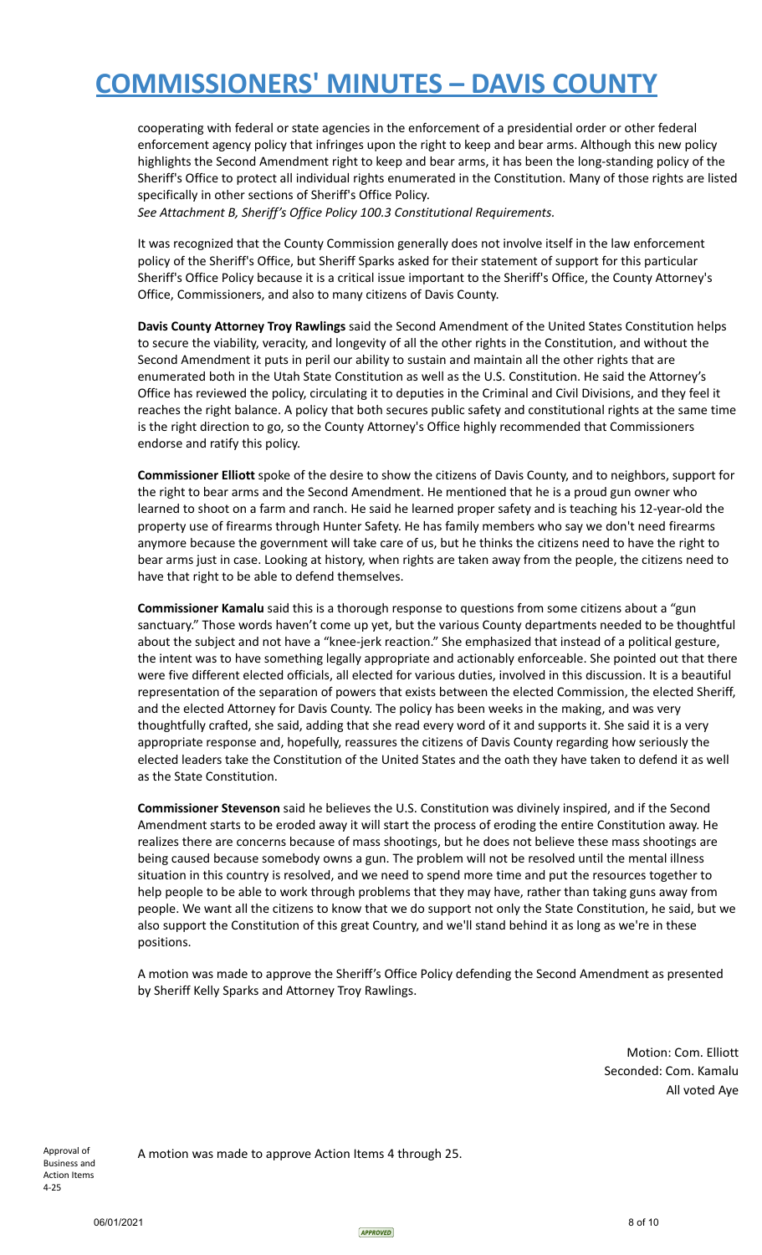cooperating with federal or state agencies in the enforcement of a presidential order or other federal enforcement agency policy that infringes upon the right to keep and bear arms. Although this new policy highlights the Second Amendment right to keep and bear arms, it has been the long-standing policy of the Sheriff's Office to protect all individual rights enumerated in the Constitution. Many of those rights are listed specifically in other sections of Sheriff's Office Policy.

*See Attachment B, Sheriff's Office Policy 100.3 Constitutional Requirements.*

It was recognized that the County Commission generally does not involve itself in the law enforcement policy of the Sheriff's Office, but Sheriff Sparks asked for their statement of support for this particular Sheriff's Office Policy because it is a critical issue important to the Sheriff's Office, the County Attorney's Office, Commissioners, and also to many citizens of Davis County.

**Davis County Attorney Troy Rawlings** said the Second Amendment of the United States Constitution helps to secure the viability, veracity, and longevity of all the other rights in the Constitution, and without the Second Amendment it puts in peril our ability to sustain and maintain all the other rights that are enumerated both in the Utah State Constitution as well as the U.S. Constitution. He said the Attorney's Office has reviewed the policy, circulating it to deputies in the Criminal and Civil Divisions, and they feel it reaches the right balance. A policy that both secures public safety and constitutional rights at the same time is the right direction to go, so the County Attorney's Office highly recommended that Commissioners endorse and ratify this policy.

**Commissioner Elliott** spoke of the desire to show the citizens of Davis County, and to neighbors, support for the right to bear arms and the Second Amendment. He mentioned that he is a proud gun owner who learned to shoot on a farm and ranch. He said he learned proper safety and is teaching his 12-year-old the property use of firearms through Hunter Safety. He has family members who say we don't need firearms anymore because the government will take care of us, but he thinks the citizens need to have the right to bear arms just in case. Looking at history, when rights are taken away from the people, the citizens need to have that right to be able to defend themselves.

**Commissioner Kamalu** said this is a thorough response to questions from some citizens about a "gun sanctuary." Those words haven't come up yet, but the various County departments needed to be thoughtful about the subject and not have a "knee-jerk reaction." She emphasized that instead of a political gesture, the intent was to have something legally appropriate and actionably enforceable. She pointed out that there were five different elected officials, all elected for various duties, involved in this discussion. It is a beautiful representation of the separation of powers that exists between the elected Commission, the elected Sheriff, and the elected Attorney for Davis County. The policy has been weeks in the making, and was very thoughtfully crafted, she said, adding that she read every word of it and supports it. She said it is a very appropriate response and, hopefully, reassures the citizens of Davis County regarding how seriously the elected leaders take the Constitution of the United States and the oath they have taken to defend it as well as the State Constitution.

**Commissioner Stevenson** said he believes the U.S. Constitution was divinely inspired, and if the Second Amendment starts to be eroded away it will start the process of eroding the entire Constitution away. He realizes there are concerns because of mass shootings, but he does not believe these mass shootings are being caused because somebody owns a gun. The problem will not be resolved until the mental illness situation in this country is resolved, and we need to spend more time and put the resources together to help people to be able to work through problems that they may have, rather than taking guns away from people. We want all the citizens to know that we do support not only the State Constitution, he said, but we also support the Constitution of this great Country, and we'll stand behind it as long as we're in these positions.

A motion was made to approve the Sheriff's Office Policy defending the Second Amendment as presented by Sheriff Kelly Sparks and Attorney Troy Rawlings.

> Motion: Com. Elliott Seconded: Com. Kamalu All voted Aye

Approval of Business and Action Items 4-25

A motion was made to approve Action Items 4 through 25.

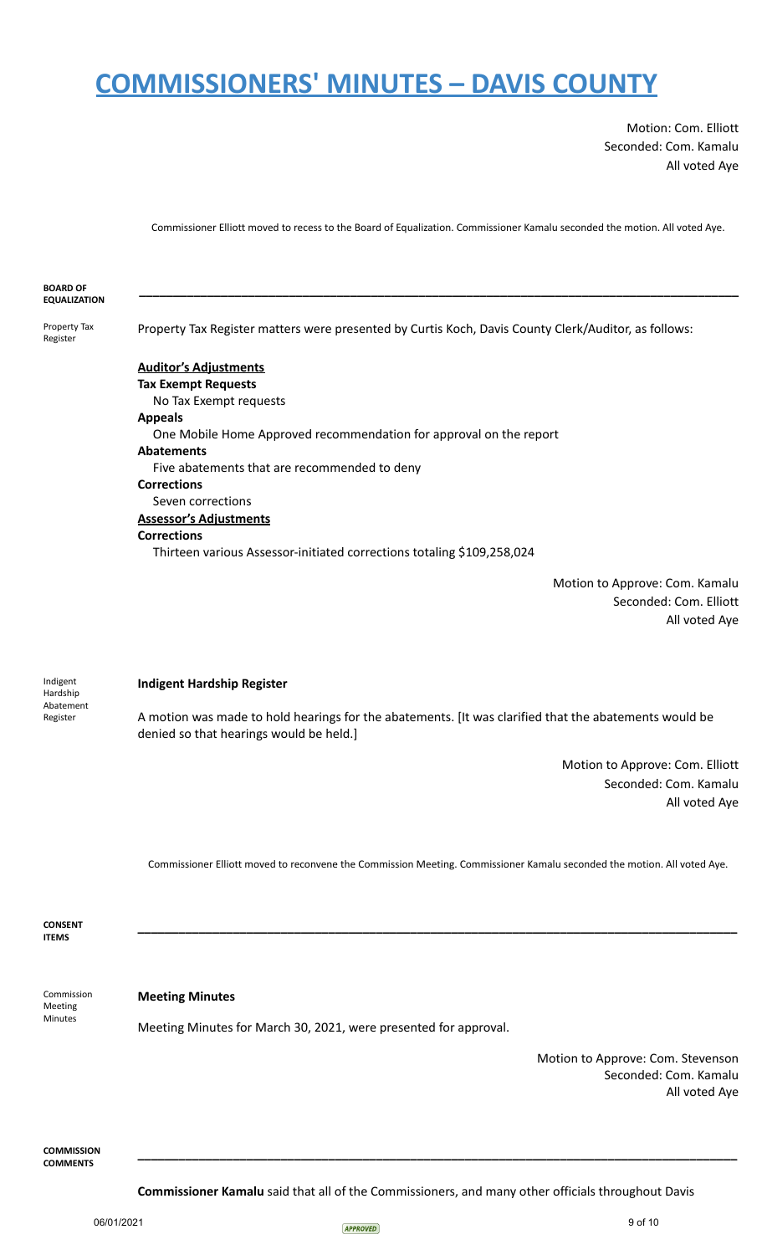Motion: Com. Elliott Seconded: Com. Kamalu All voted Aye

Commissioner Elliott moved to recess to the Board of Equalization. Commissioner Kamalu seconded the motion. All voted Aye.

| <b>BOARD OF</b>                               |                                                                                                                                                  |
|-----------------------------------------------|--------------------------------------------------------------------------------------------------------------------------------------------------|
| <b>EQUALIZATION</b>                           |                                                                                                                                                  |
| Property Tax<br>Register                      | Property Tax Register matters were presented by Curtis Koch, Davis County Clerk/Auditor, as follows:                                             |
|                                               | <b>Auditor's Adjustments</b>                                                                                                                     |
|                                               | <b>Tax Exempt Requests</b>                                                                                                                       |
|                                               | No Tax Exempt requests                                                                                                                           |
|                                               | <b>Appeals</b><br>One Mobile Home Approved recommendation for approval on the report                                                             |
|                                               | <b>Abatements</b>                                                                                                                                |
|                                               | Five abatements that are recommended to deny                                                                                                     |
|                                               | <b>Corrections</b>                                                                                                                               |
|                                               | Seven corrections                                                                                                                                |
|                                               | <b>Assessor's Adjustments</b>                                                                                                                    |
|                                               | <b>Corrections</b>                                                                                                                               |
|                                               | Thirteen various Assessor-initiated corrections totaling \$109,258,024                                                                           |
|                                               | Motion to Approve: Com. Kamalu                                                                                                                   |
|                                               | Seconded: Com. Elliott                                                                                                                           |
|                                               | All voted Aye                                                                                                                                    |
|                                               |                                                                                                                                                  |
|                                               |                                                                                                                                                  |
| Indigent<br>Hardship<br>Abatement<br>Register | <b>Indigent Hardship Register</b>                                                                                                                |
|                                               | A motion was made to hold hearings for the abatements. [It was clarified that the abatements would be<br>denied so that hearings would be held.] |
|                                               | Motion to Approve: Com. Elliott                                                                                                                  |
|                                               | Seconded: Com. Kamalu                                                                                                                            |
|                                               | All voted Aye                                                                                                                                    |
|                                               |                                                                                                                                                  |
|                                               |                                                                                                                                                  |
|                                               |                                                                                                                                                  |
|                                               | Commissioner Elliott moved to reconvene the Commission Meeting. Commissioner Kamalu seconded the motion. All voted Aye.                          |
|                                               |                                                                                                                                                  |
|                                               |                                                                                                                                                  |
| <b>CONSENT</b><br><b>ITEMS</b>                |                                                                                                                                                  |
|                                               |                                                                                                                                                  |
|                                               |                                                                                                                                                  |
| Commission<br>Meeting<br>Minutes              | <b>Meeting Minutes</b>                                                                                                                           |
|                                               |                                                                                                                                                  |
|                                               | Meeting Minutes for March 30, 2021, were presented for approval.                                                                                 |

Motion to Approve: Com. Stevenson Seconded: Com. Kamalu All voted Aye

**COMMISSION COMMENTS**

**Commissioner Kamalu** said that all of the Commissioners, and many other officials throughout Davis

**\_\_\_\_\_\_\_\_\_\_\_\_\_\_\_\_\_\_\_\_\_\_\_\_\_\_\_\_\_\_\_\_\_\_\_\_\_\_\_\_\_\_\_\_\_\_\_\_\_\_\_\_\_\_\_\_\_\_\_\_\_\_\_\_\_\_\_\_\_\_\_\_\_\_\_\_\_\_\_\_\_\_\_\_\_\_\_\_**